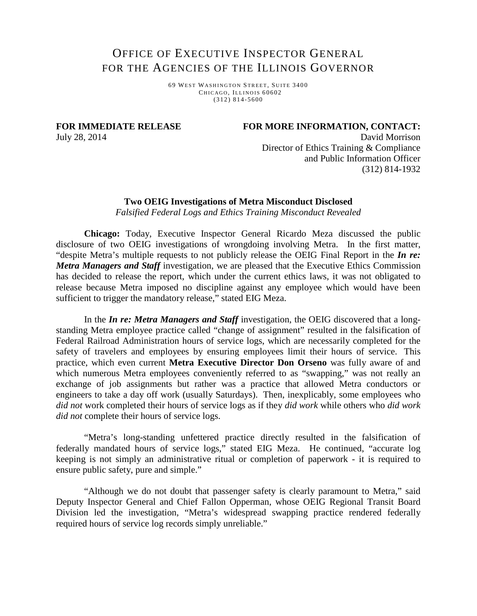## OFFICE OF EXECUTIVE INSPECTOR GENERAL FOR THE AGENCIES OF THE ILLINOIS GOVERNOR

6 9 WEST WASHINGTON S TREET, SUITE 3400 CHICAGO, ILLINOIS 60602 (312) 814 -5600

**FOR IMMEDIATE RELEASE**

**FOR MORE INFORMATION, CONTACT:**

July 28, 2014

 David Morrison Director of Ethics Training & Compliance and Public Information Officer (312) 814-1932

## **Two OEIG Investigations of Metra Misconduct Disclosed**

*Falsified Federal Logs and Ethics Training Misconduct Revealed*

**Chicago:** Today, Executive Inspector General Ricardo Meza discussed the public disclosure of two OEIG investigations of wrongdoing involving Metra. In the first matter, "despite Metra's multiple requests to not publicly release the OEIG Final Report in the *In re: Metra Managers and Staff* investigation, we are pleased that the Executive Ethics Commission has decided to release the report, which under the current ethics laws, it was not obligated to release because Metra imposed no discipline against any employee which would have been sufficient to trigger the mandatory release," stated EIG Meza.

In the *In re: Metra Managers and Staff* investigation, the OEIG discovered that a longstanding Metra employee practice called "change of assignment" resulted in the falsification of Federal Railroad Administration hours of service logs, which are necessarily completed for the safety of travelers and employees by ensuring employees limit their hours of service. This practice, which even current **Metra Executive Director Don Orseno** was fully aware of and which numerous Metra employees conveniently referred to as "swapping," was not really an exchange of job assignments but rather was a practice that allowed Metra conductors or engineers to take a day off work (usually Saturdays). Then, inexplicably, some employees who *did not* work completed their hours of service logs as if they *did work* while others who *did work did not* complete their hours of service logs.

"Metra's long-standing unfettered practice directly resulted in the falsification of federally mandated hours of service logs," stated EIG Meza. He continued, "accurate log keeping is not simply an administrative ritual or completion of paperwork - it is required to ensure public safety, pure and simple."

"Although we do not doubt that passenger safety is clearly paramount to Metra," said Deputy Inspector General and Chief Fallon Opperman, whose OEIG Regional Transit Board Division led the investigation, "Metra's widespread swapping practice rendered federally required hours of service log records simply unreliable."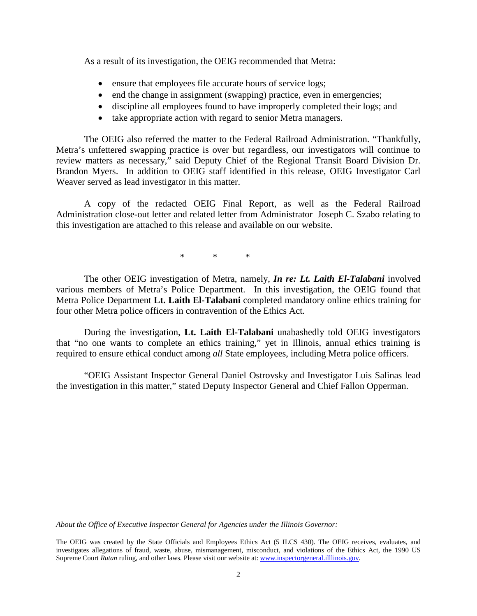As a result of its investigation, the OEIG recommended that Metra:

- ensure that employees file accurate hours of service logs;
- end the change in assignment (swapping) practice, even in emergencies;
- discipline all employees found to have improperly completed their logs; and
- take appropriate action with regard to senior Metra managers.

The OEIG also referred the matter to the Federal Railroad Administration. "Thankfully, Metra's unfettered swapping practice is over but regardless, our investigators will continue to review matters as necessary," said Deputy Chief of the Regional Transit Board Division Dr. Brandon Myers. In addition to OEIG staff identified in this release, OEIG Investigator Carl Weaver served as lead investigator in this matter.

A copy of the redacted OEIG Final Report, as well as the Federal Railroad Administration close-out letter and related letter from Administrator Joseph C. Szabo relating to this investigation are attached to this release and available on our website.

 $\begin{array}{ccc} \ast & \ast & \ast \\ \end{array}$ 

The other OEIG investigation of Metra, namely, *In re: Lt. Laith El-Talabani* involved various members of Metra's Police Department. In this investigation, the OEIG found that Metra Police Department **Lt. Laith El-Talabani** completed mandatory online ethics training for four other Metra police officers in contravention of the Ethics Act.

During the investigation, **Lt. Laith El-Talabani** unabashedly told OEIG investigators that "no one wants to complete an ethics training," yet in Illinois, annual ethics training is required to ensure ethical conduct among *all* State employees, including Metra police officers.

"OEIG Assistant Inspector General Daniel Ostrovsky and Investigator Luis Salinas lead the investigation in this matter," stated Deputy Inspector General and Chief Fallon Opperman.

*About the Office of Executive Inspector General for Agencies under the Illinois Governor:*

The OEIG was created by the State Officials and Employees Ethics Act (5 ILCS 430). The OEIG receives, evaluates, and investigates allegations of fraud, waste, abuse, mismanagement, misconduct, and violations of the Ethics Act, the 1990 US Supreme Court *Rutan* ruling, and other laws. Please visit our website at: [www.inspectorgeneral.illlinois.gov.](http://www.inspectorgeneral.illlinois.gov/)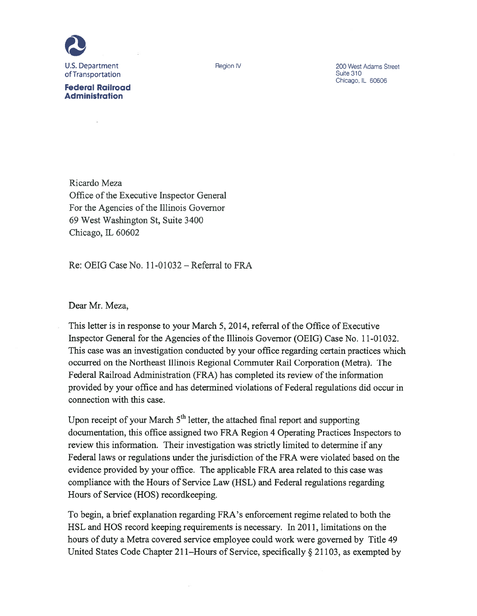

**Federal Railroad Administration** 

 $\bar{a}$ 

Region IV

200 West Adams Street Suite 310 Chicago, IL 60606

Ricardo Meza Office of the Executive Inspector General For the Agencies of the Illinois Governor 69 West Washington St, Suite 3400 Chicago, IL 60602

Re: OEIG Case No. 11-01032 – Referral to FRA

Dear Mr. Meza,

This letter is in response to your March 5, 2014, referral of the Office of Executive Inspector General for the Agencies of the Illinois Governor (OEIG) Case No. 11-01032. This case was an investigation conducted by your office regarding certain practices which occurred on the Northeast Illinois Regional Commuter Rail Corporation (Metra). The Federal Railroad Administration (FRA) has completed its review of the information provided by your office and has determined violations of Federal regulations did occur in connection with this case.

Upon receipt of your March 5<sup>th</sup> letter, the attached final report and supporting documentation, this office assigned two FRA Region 4 Operating Practices Inspectors to review this information. Their investigation was strictly limited to determine if any Federal laws or regulations under the jurisdiction of the FRA were violated based on the evidence provided by your office. The applicable FRA area related to this case was compliance with the Hours of Service Law (HSL) and Federal regulations regarding Hours of Service (HOS) record keeping.

To begin, a brief explanation regarding FRA's enforcement regime related to both the HSL and HOS record keeping requirements is necessary. In 2011, limitations on the hours of duty a Metra covered service employee could work were governed by Title 49 United States Code Chapter 211–Hours of Service, specifically § 21103, as exempted by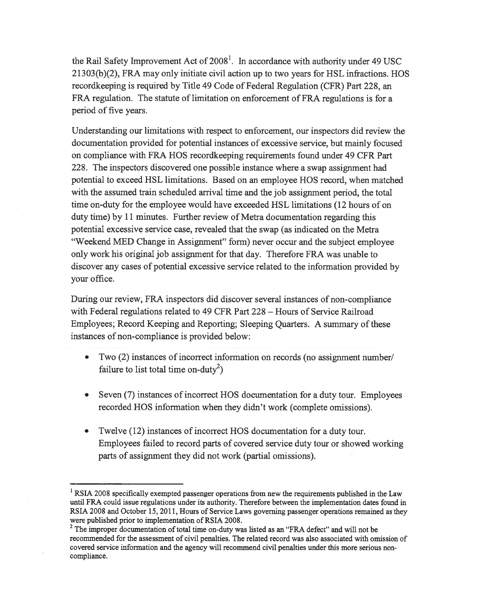the Rail Safety Improvement Act of 2008<sup>1</sup>. In accordance with authority under 49 USC 21303(b)(2), FRA may only initiate civil action up to two years for HSL infractions. HOS recordkeeping is required by Title 49 Code of Federal Regulation (CFR) Part 228, an FRA regulation. The statute of limitation on enforcement of FRA regulations is for a period of five years.

Understanding our limitations with respect to enforcement, our inspectors did review the documentation provided for potential instances of excessive service, but mainly focused on compliance with FRA HOS recordkeeping requirements found under 49 CFR Part 228. The inspectors discovered one possible instance where a swap assignment had potential to exceed HSL limitations. Based on an employee HOS record, when matched with the assumed train scheduled arrival time and the job assignment period, the total time on-duty for the employee would have exceeded HSL limitations (12 hours of on duty time) by 11 minutes. Further review of Metra documentation regarding this potential excessive service case, revealed that the swap (as indicated on the Metra "Weekend MED Change in Assignment" form) never occur and the subject employee only work his original job assignment for that day. Therefore FRA was unable to discover any cases of potential excessive service related to the information provided by your office.

During our review, FRA inspectors did discover several instances of non-compliance with Federal regulations related to 49 CFR Part 228 - Hours of Service Railroad Employees; Record Keeping and Reporting; Sleeping Quarters. A summary of these instances of non-compliance is provided below:

- Two (2) instances of incorrect information on records (no assignment number/ failure to list total time on-duty<sup>2</sup>)
- Seven (7) instances of incorrect HOS documentation for a duty tour. Employees recorded HOS information when they didn't work (complete omissions).
- Twelve (12) instances of incorrect HOS documentation for a duty tour. Employees failed to record parts of covered service duty tour or showed working parts of assignment they did not work (partial omissions).

 $1$  RSIA 2008 specifically exempted passenger operations from new the requirements published in the Law until FRA could issue regulations under its authority. Therefore between the implementation dates found in RSIA 2008 and October 15, 2011, Hours of Service Laws governing passenger operations remained as they were published prior to implementation of RSIA 2008.

<sup>&</sup>lt;sup>2</sup> The improper documentation of total time on-duty was listed as an "FRA defect" and will not be recommended for the assessment of civil penalties. The related record was also associated with omission of covered service information and the agency will recommend civil penalties under this more serious noncompliance.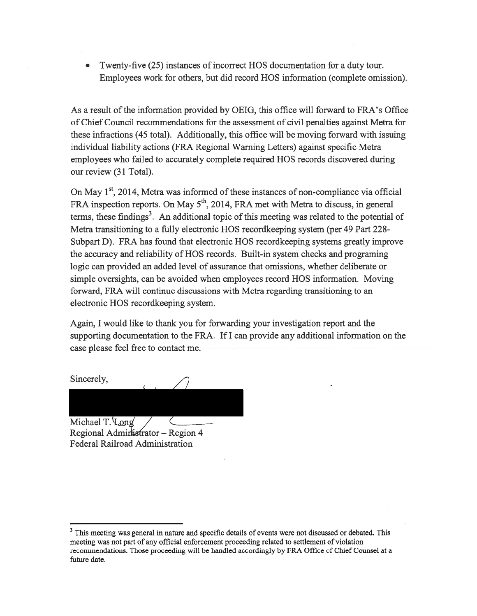Twenty-five (25) instances of incorrect HOS documentation for a duty tour.  $\bullet$ Employees work for others, but did record HOS information (complete omission).

As a result of the information provided by OEIG, this office will forward to FRA's Office of Chief Council recommendations for the assessment of civil penalties against Metra for these infractions (45 total). Additionally, this office will be moving forward with issuing individual liability actions (FRA Regional Warning Letters) against specific Metra employees who failed to accurately complete required HOS records discovered during our review (31 Total).

On May 1<sup>st</sup>, 2014, Metra was informed of these instances of non-compliance via official FRA inspection reports. On May 5<sup>th</sup>, 2014, FRA met with Metra to discuss, in general terms, these findings<sup>3</sup>. An additional topic of this meeting was related to the potential of Metra transitioning to a fully electronic HOS recordkeeping system (per 49 Part 228-Subpart D). FRA has found that electronic HOS record keeping systems greatly improve the accuracy and reliability of HOS records. Built-in system checks and programing logic can provided an added level of assurance that omissions, whether deliberate or simple oversights, can be avoided when employees record HOS information. Moving forward, FRA will continue discussions with Metra regarding transitioning to an electronic HOS recordkeeping system.

Again, I would like to thank you for forwarding your investigation report and the supporting documentation to the FRA. If I can provide any additional information on the case please feel free to contact me.

Sincerely,

Michael T. Long

Regional Administrator - Region 4 Federal Railroad Administration

<sup>&</sup>lt;sup>3</sup> This meeting was general in nature and specific details of events were not discussed or debated. This meeting was not part of any official enforcement proceeding related to settlement of violation recommendations. Those proceeding will be handled accordingly by FRA Office of Chief Counsel at a future date.